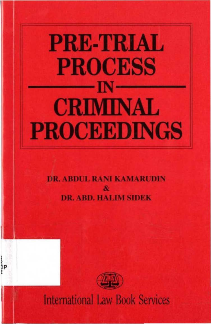# **PRE-TRIAL PROCESS** – IN – **CRIMINAL PROCEEDINGS**

**DR. ABDUL RANI KAMARUDIN DR. ABD. HALIM SIDEK** 



**International Law Book Services** 

}<br>}Р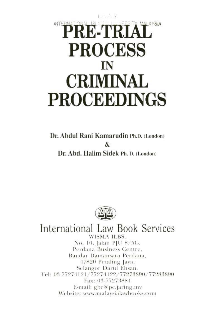## **INTER PRE-TR PROCESS** IN **CRIMINAL PROCEEDINGS**

Dr. Abdul Rani Kamarudin Ph.D. (London) **R** Dr. Abd. Halim Sidek Ph. D. (London)



International Law Book Services **WISMA ILBS.** No. 10, Jalan PJU 8/5G, Perdana Business Centre. Bandar Damansara Perdana, 47820 Petaling Java, Selangor Darul Ehsan. Tel: 03-77274121/77274122/77273890/77283890 Fax: 03-77273884 E-mail:  $gbc@pc$ , jaring.my Website: www.malaysialawbooks.com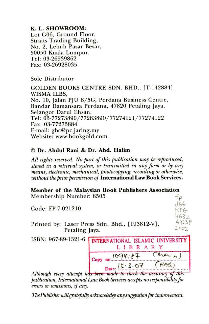#### K. L. SHOWROOM:

Lot G06, Ground Floor. Straits Trading Building, No. 2, Lebuh Pasar Besar, 50050 Kuala Lumpur. Tel: 03-26939862 Fax: 03-26928035

Sole Distributor

GOLDEN BOOKS CENTRE SDN. BHD., [T-142884] WISMA ILBS, No. 10, Jalan PJU 8/5G, Perdana Business Centre, Bandar Damansara Perdana, 47820 Petaling Jaya, Selangor Darul Ehsan. Tel: 03-77273890/77283890/77274121/77274122 Fax: 03-77273884 E-mail:  $gbc@pc$ .jaring.my Website: www.bookgold.com

#### © Dr. Abdul Ranj & Dr. Abd. Halim

*All* rights reserved. No part of this publication may be reproduced, *stored* in a retrieval system, or transmitted in any form or by any *means, electronic, mechanical, photocopying, recording or otherwise,* without the prior permission of International Law Book Services.

Member of the Malaysian Book Publishers Association Membership Number: 8505 f  $\rho$ 

Code: FP-7-021210

Printed by: Laser Press Sdn. Bhd., [193812-V], Petaling Jaya.

ISBN: 967-89-1321-6 **INTERNATIONAL ISLAMIC UNIVERSITY** LIBRARY  $\frac{1694187}{1600}$   $\frac{(1694187)}{1600}$ 

 $d66$  $KP$  $4632$  $A923P$ 2007

*Although every attempt has been made to check the accuracy of this*  $\mu$ ublication, International Law Book Services accepts no responsibility for errors or omissions, if any.

The Publisher will gratefully acknowledge any suggestion for *improvement*.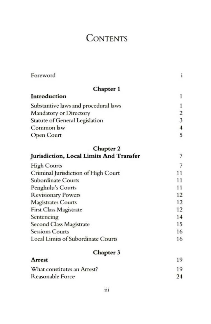### **CONTENTS**

| Foreword                                  | ĩ                       |
|-------------------------------------------|-------------------------|
| Chapter 1                                 |                         |
| Introduction                              | 1                       |
| Substantive laws and procedural laws      | 1                       |
| <b>Mandatory or Directory</b>             | $\overline{\mathbf{c}}$ |
| Statute of General Legislation            | $\overline{\mathbf{3}}$ |
| Common law                                | $\overline{4}$          |
| Open Court                                | 5                       |
| Chapter 2                                 |                         |
| Jurisdiction, Local Limits And Transfer   | 7                       |
| <b>High Courts</b>                        | 7                       |
| Criminal Jurisdiction of High Court       | 11                      |
| <b>Subordinate Courts</b>                 | 11                      |
| Penghulu's Courts                         | 11                      |
| <b>Revisionary Powers</b>                 | 12                      |
| <b>Magistrates Courts</b>                 | 12                      |
| <b>First Class Magistrate</b>             | 12                      |
| Sentencing                                | 14                      |
| Second Class Magistrate                   | 15                      |
| <b>Sessions Courts</b>                    | 16                      |
| <b>Local Limits of Subordinate Courts</b> | 16                      |
| Chapter 3                                 |                         |
| Arrest                                    | 19                      |
| What constitutes an Arrest?               | 19                      |
| <b>Reasonable Force</b>                   | 24                      |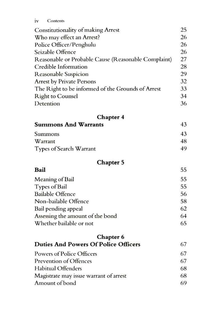iv Contents

| <b>Constitutionality of making Arrest</b>           | 25 |
|-----------------------------------------------------|----|
| Who may effect an Arrest?                           | 26 |
| Police Officer/Penghulu                             | 26 |
| Seizable Offence                                    | 26 |
| Reasonable or Probable Cause (Reasonable Complaint) | 27 |
| Credible Information                                | 28 |
| <b>Reasonable Suspicion</b>                         | 29 |
| <b>Arrest by Private Persons</b>                    | 32 |
| The Right to be informed of the Grounds of Arrest   | 33 |
| <b>Right to Counsel</b>                             | 34 |
| Detention                                           | 36 |
| Chapter 4                                           |    |
| <b>Summons And Warrants</b>                         | 43 |
| Summons                                             | 43 |
| Warrant                                             | 48 |
| Types of Search Warrant                             | 49 |
| <b>Chapter 5</b>                                    |    |
| Bail                                                | 55 |
| Meaning of Bail                                     | 55 |
| Types of Bail                                       | 55 |
| <b>Bailable Offence</b>                             | 56 |
| Non-bailable Offence                                | 58 |
| Bail pending appeal                                 | 62 |
| Assessing the amount of the bond                    | 64 |
| Whether bailable or not                             | 65 |
| Chapter 6                                           |    |
| <b>Duties And Powers Of Police Officers</b>         | 67 |
| Powers of Police Officers                           | 67 |
| Prevention of Offences                              | 67 |
| <b>Habitual Offenders</b>                           | 68 |
| Magistrate may issue warrant of arrest              | 68 |
| Amount of bond                                      | 69 |